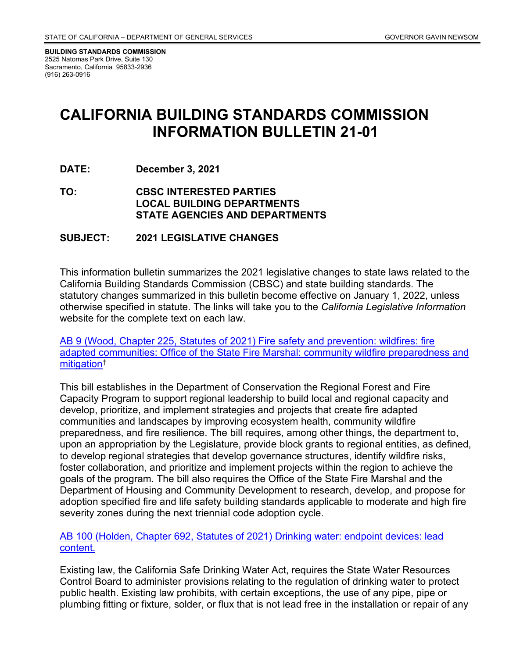**BUILDING STANDARDS COMMISSION** 2525 Natomas Park Drive, Suite 130 Sacramento, California 95833-2936 (916) 263-0916

# **CALIFORNIA BUILDING STANDARDS COMMISSION INFORMATION BULLETIN 21-01**

- **DATE: December 3, 2021**
- **TO: CBSC INTERESTED PARTIES LOCAL BUILDING DEPARTMENTS STATE AGENCIES AND DEPARTMENTS**

#### **SUBJECT: 2021 LEGISLATIVE CHANGES**

This information bulletin summarizes the 2021 legislative changes to state laws related to the California Building Standards Commission (CBSC) and state building standards. The statutory changes summarized in this bulletin become effective on January 1, 2022, unless otherwise specified in statute. The links will take you to the *California Legislative Information* website for the complete text on each law.

[AB 9 \(Wood, Chapter 225, Statutes of 2021\) Fire safety and prevention: wildfires: fire](https://leginfo.legislature.ca.gov/faces/billNavClient.xhtml?bill_id=202120220AB9)  [adapted communities: Office of the State Fire Marshal: community wildfire preparedness and](https://leginfo.legislature.ca.gov/faces/billNavClient.xhtml?bill_id=202120220AB9)  [mitigation†](https://leginfo.legislature.ca.gov/faces/billNavClient.xhtml?bill_id=202120220AB9)

This bill establishes in the Department of Conservation the Regional Forest and Fire Capacity Program to support regional leadership to build local and regional capacity and develop, prioritize, and implement strategies and projects that create fire adapted communities and landscapes by improving ecosystem health, community wildfire preparedness, and fire resilience. The bill requires, among other things, the department to, upon an appropriation by the Legislature, provide block grants to regional entities, as defined, to develop regional strategies that develop governance structures, identify wildfire risks, foster collaboration, and prioritize and implement projects within the region to achieve the goals of the program. The bill also requires the Office of the State Fire Marshal and the Department of Housing and Community Development to research, develop, and propose for adoption specified fire and life safety building standards applicable to moderate and high fire severity zones during the next triennial code adoption cycle.

#### [AB 100 \(Holden, Chapter 692, Statutes of 2021\) Drinking water: endpoint devices: lead](https://leginfo.legislature.ca.gov/faces/billTextClient.xhtml?bill_id=202120220AB100)  [content.](https://leginfo.legislature.ca.gov/faces/billTextClient.xhtml?bill_id=202120220AB100)

Existing law, the California Safe Drinking Water Act, requires the State Water Resources Control Board to administer provisions relating to the regulation of drinking water to protect public health. Existing law prohibits, with certain exceptions, the use of any pipe, pipe or plumbing fitting or fixture, solder, or flux that is not lead free in the installation or repair of any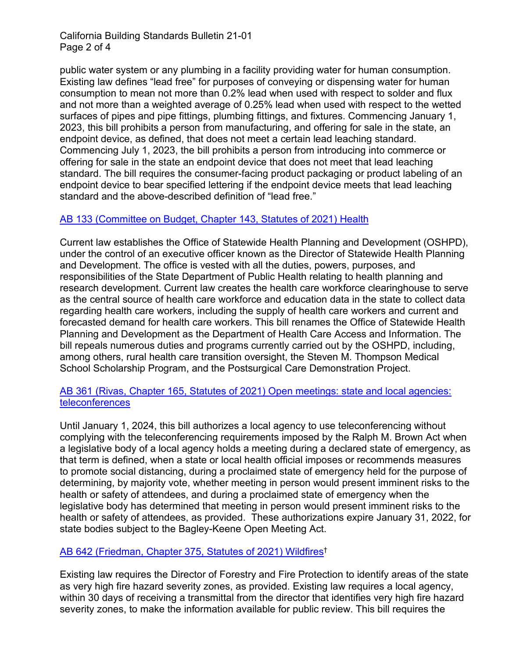# California Building Standards Bulletin 21-01 Page 2 of 4

public water system or any plumbing in a facility providing water for human consumption. Existing law defines "lead free" for purposes of conveying or dispensing water for human consumption to mean not more than 0.2% lead when used with respect to solder and flux and not more than a weighted average of 0.25% lead when used with respect to the wetted surfaces of pipes and pipe fittings, plumbing fittings, and fixtures. Commencing January 1, 2023, this bill prohibits a person from manufacturing, and offering for sale in the state, an endpoint device, as defined, that does not meet a certain lead leaching standard. Commencing July 1, 2023, the bill prohibits a person from introducing into commerce or offering for sale in the state an endpoint device that does not meet that lead leaching standard. The bill requires the consumer-facing product packaging or product labeling of an endpoint device to bear specified lettering if the endpoint device meets that lead leaching standard and the above-described definition of "lead free."

# [AB 133 \(Committee on Budget, Chapter](https://leginfo.legislature.ca.gov/faces/billNavClient.xhtml?bill_id=202120220AB133) [143, Statutes of 2021\) Health](https://leginfo.legislature.ca.gov/faces/billNavClient.xhtml?bill_id=202120220AB133)

Current law establishes the Office of Statewide Health Planning and Development (OSHPD), under the control of an executive officer known as the Director of Statewide Health Planning and Development. The office is vested with all the duties, powers, purposes, and responsibilities of the State Department of Public Health relating to health planning and research development. Current law creates the health care workforce clearinghouse to serve as the central source of health care workforce and education data in the state to collect data regarding health care workers, including the supply of health care workers and current and forecasted demand for health care workers. This bill renames the Office of Statewide Health Planning and Development as the Department of Health Care Access and Information. The bill repeals numerous duties and programs currently carried out by the OSHPD, including, among others, rural health care transition oversight, the Steven M. Thompson Medical School Scholarship Program, and the Postsurgical Care Demonstration Project.

# [AB 361 \(Rivas, Chapter 165, Statutes of 2021\) Open meetings: state](https://leginfo.legislature.ca.gov/faces/billTextClient.xhtml?bill_id=202120220AB361) [and local agencies:](https://leginfo.legislature.ca.gov/faces/billTextClient.xhtml?bill_id=202120220AB361)  [teleconferences](https://leginfo.legislature.ca.gov/faces/billTextClient.xhtml?bill_id=202120220AB361)

Until January 1, 2024, this bill authorizes a local agency to use teleconferencing without complying with the teleconferencing requirements imposed by the Ralph M. Brown Act when a legislative body of a local agency holds a meeting during a declared state of emergency, as that term is defined, when a state or local health official imposes or recommends measures to promote social distancing, during a proclaimed state of emergency held for the purpose of determining, by majority vote, whether meeting in person would present imminent risks to the health or safety of attendees, and during a proclaimed state of emergency when the legislative body has determined that meeting in person would present imminent risks to the health or safety of attendees, as provided. These authorizations expire January 31, 2022, for state bodies subject to the Bagley-Keene Open Meeting Act.

# [AB 642 \(Friedman, Chapter 375, Statutes of 2021\) Wildfires†](https://leginfo.legislature.ca.gov/faces/billTextClient.xhtml?bill_id=202120220AB642)

Existing law requires the Director of Forestry and Fire Protection to identify areas of the state as very high fire hazard severity zones, as provided. Existing law requires a local agency, within 30 days of receiving a transmittal from the director that identifies very high fire hazard severity zones, to make the information available for public review. This bill requires the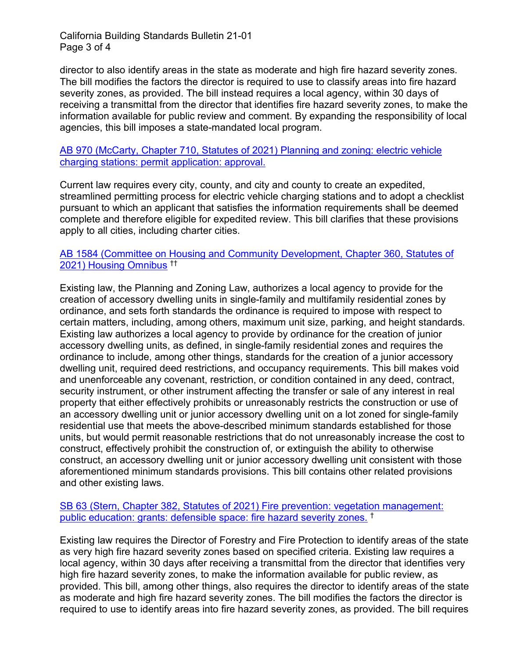California Building Standards Bulletin 21-01 Page 3 of 4

director to also identify areas in the state as moderate and high fire hazard severity zones. The bill modifies the factors the director is required to use to classify areas into fire hazard severity zones, as provided. The bill instead requires a local agency, within 30 days of receiving a transmittal from the director that identifies fire hazard severity zones, to make the information available for public review and comment. By expanding the responsibility of local agencies, this bill imposes a state-mandated local program.

[AB 970 \(McCarty, Chapter 710, Statutes of 2021\) Planning and zoning: electric vehicle](https://leginfo.legislature.ca.gov/faces/billTextClient.xhtml?bill_id=202120220AB970)  [charging stations: permit application: approval.](https://leginfo.legislature.ca.gov/faces/billTextClient.xhtml?bill_id=202120220AB970)

Current law requires every city, county, and city and county to create an expedited, streamlined permitting process for electric vehicle charging stations and to adopt a checklist pursuant to which an applicant that satisfies the information requirements shall be deemed complete and therefore eligible for expedited review. This bill clarifies that these provisions apply to all cities, including charter cities.

### [AB 1584 \(Committee on Housing and Community Development, Chapter 360, Statutes of](https://leginfo.legislature.ca.gov/faces/billNavClient.xhtml?bill_id=202120220AB1584)  [2021\) Housing Omnibus](https://leginfo.legislature.ca.gov/faces/billNavClient.xhtml?bill_id=202120220AB1584) ††

Existing law, the Planning and Zoning Law, authorizes a local agency to provide for the creation of accessory dwelling units in single-family and multifamily residential zones by ordinance, and sets forth standards the ordinance is required to impose with respect to certain matters, including, among others, maximum unit size, parking, and height standards. Existing law authorizes a local agency to provide by ordinance for the creation of junior accessory dwelling units, as defined, in single-family residential zones and requires the ordinance to include, among other things, standards for the creation of a junior accessory dwelling unit, required deed restrictions, and occupancy requirements. This bill makes void and unenforceable any covenant, restriction, or condition contained in any deed, contract, security instrument, or other instrument affecting the transfer or sale of any interest in real property that either effectively prohibits or unreasonably restricts the construction or use of an accessory dwelling unit or junior accessory dwelling unit on a lot zoned for single-family residential use that meets the above-described minimum standards established for those units, but would permit reasonable restrictions that do not unreasonably increase the cost to construct, effectively prohibit the construction of, or extinguish the ability to otherwise construct, an accessory dwelling unit or junior accessory dwelling unit consistent with those aforementioned minimum standards provisions. This bill contains other related provisions and other existing laws.

# [SB 63 \(Stern, Chapter 382, Statutes of 2021\) Fire prevention: vegetation management:](https://leginfo.legislature.ca.gov/faces/billTextClient.xhtml?bill_id=202120220SB63)  [public education: grants: defensible space: fire hazard severity zones.](https://leginfo.legislature.ca.gov/faces/billTextClient.xhtml?bill_id=202120220SB63) †

Existing law requires the Director of Forestry and Fire Protection to identify areas of the state as very high fire hazard severity zones based on specified criteria. Existing law requires a local agency, within 30 days after receiving a transmittal from the director that identifies very high fire hazard severity zones, to make the information available for public review, as provided. This bill, among other things, also requires the director to identify areas of the state as moderate and high fire hazard severity zones. The bill modifies the factors the director is required to use to identify areas into fire hazard severity zones, as provided. The bill requires